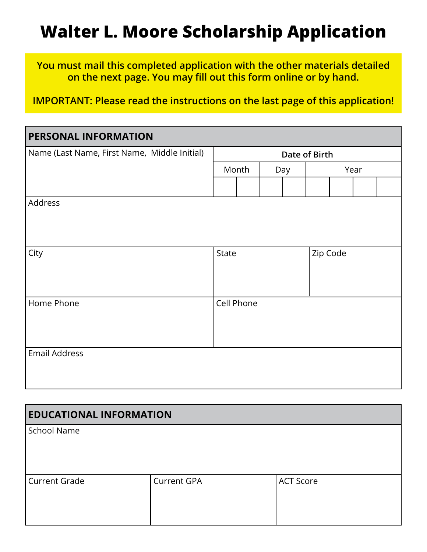## **Walter L. Moore Scholarship Application**

**You must mail this completed application with the other materials detailed on the next page. You may fill out this form online or by hand.** 

**IMPORTANT: Please read the instructions on the last page of this application!**

| PERSONAL INFORMATION                         |               |            |          |  |      |  |  |  |  |
|----------------------------------------------|---------------|------------|----------|--|------|--|--|--|--|
| Name (Last Name, First Name, Middle Initial) | Date of Birth |            |          |  |      |  |  |  |  |
|                                              | Month         |            | Day      |  | Year |  |  |  |  |
|                                              |               |            |          |  |      |  |  |  |  |
| Address                                      |               |            |          |  |      |  |  |  |  |
|                                              |               |            |          |  |      |  |  |  |  |
|                                              |               |            |          |  |      |  |  |  |  |
| City                                         | State         |            | Zip Code |  |      |  |  |  |  |
|                                              |               |            |          |  |      |  |  |  |  |
|                                              |               |            |          |  |      |  |  |  |  |
| Home Phone                                   |               | Cell Phone |          |  |      |  |  |  |  |
|                                              |               |            |          |  |      |  |  |  |  |
|                                              |               |            |          |  |      |  |  |  |  |
| <b>Email Address</b>                         |               |            |          |  |      |  |  |  |  |
|                                              |               |            |          |  |      |  |  |  |  |
|                                              |               |            |          |  |      |  |  |  |  |

| <b>EDUCATIONAL INFORMATION</b> |                    |                  |  |  |  |  |
|--------------------------------|--------------------|------------------|--|--|--|--|
| School Name                    |                    |                  |  |  |  |  |
| <b>Current Grade</b>           | <b>Current GPA</b> | <b>ACT Score</b> |  |  |  |  |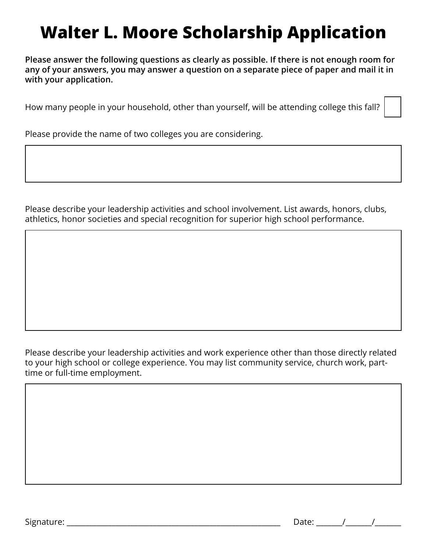# **Walter L. Moore Scholarship Application**

**Please answer the following questions as clearly as possible. If there is not enough room for any of your answers, you may answer a question on a separate piece of paper and mail it in with your application.**

How many people in your household, other than yourself, will be attending college this fall?

Please provide the name of two colleges you are considering.

Please describe your leadership activities and school involvement. List awards, honors, clubs, athletics, honor societies and special recognition for superior high school performance.

Please describe your leadership activities and work experience other than those directly related to your high school or college experience. You may list community service, church work, parttime or full-time employment.

Signature:  $\Box$